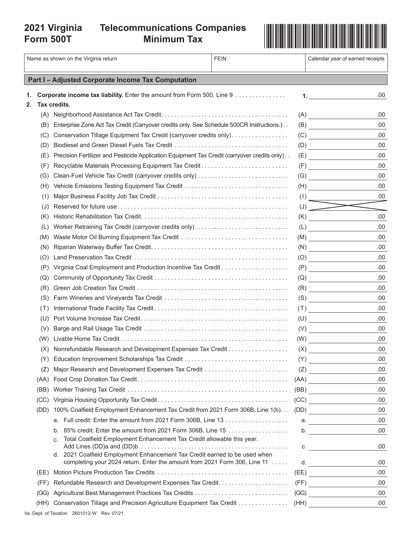# **2021 Virginia**

## **Minimum Tax**



|    |      | Name as shown on the Virginia return                                                                                                                    | <b>FEIN</b> | Calendar year of earned receipts                                                                                               |
|----|------|---------------------------------------------------------------------------------------------------------------------------------------------------------|-------------|--------------------------------------------------------------------------------------------------------------------------------|
|    |      | Part I - Adjusted Corporate Income Tax Computation                                                                                                      |             |                                                                                                                                |
| 1. |      | <b>Corporate income tax liability.</b> Enter the amount from Form 500, Line 9                                                                           |             | .00<br>1. The same $\sim$                                                                                                      |
| 2. |      | Tax credits.                                                                                                                                            |             |                                                                                                                                |
|    |      |                                                                                                                                                         |             | .00                                                                                                                            |
|    | (B)  | Enterprise Zone Act Tax Credit (Carryover credits only. See Schedule 500CR Instructions.)                                                               |             | .00.<br>(B)                                                                                                                    |
|    | (C)  | Conservation Tillage Equipment Tax Credit (carryover credits only)                                                                                      |             | .00<br>(C)                                                                                                                     |
|    | (D   |                                                                                                                                                         |             | .00<br>(D)                                                                                                                     |
|    | (E)  | Precision Fertilizer and Pesticide Application Equipment Tax Credit (carryover credits only)                                                            |             | .00<br>(E)                                                                                                                     |
|    | (F   | Recyclable Materials Processing Equipment Tax Credit                                                                                                    |             | .00.                                                                                                                           |
|    | (G)  |                                                                                                                                                         |             | .00.<br>(G)                                                                                                                    |
|    | (H)  | Vehicle Emissions Testing Equipment Tax Credit                                                                                                          |             | .00<br>(H)                                                                                                                     |
|    | (1)  |                                                                                                                                                         |             | .00.<br>(1)                                                                                                                    |
|    | (J   |                                                                                                                                                         |             | $\left(\mathsf{J}\right)$                                                                                                      |
|    | (K)  |                                                                                                                                                         | (K)         | .00.<br><u> a shekara ta 1999 a shekara ta 1991 a shekara ta 1991 a shekara ta 1991 a shekara ta 1991 a shekara ta 1991 a </u> |
|    | (L)  | Worker Retraining Tax Credit (carryover credits only)                                                                                                   | (L)         | .00                                                                                                                            |
|    | (M)  | Waste Motor Oil Burning Equipment Tax Credit                                                                                                            |             | .00.<br>(M)                                                                                                                    |
|    | (N)  |                                                                                                                                                         |             | .00<br>(N)                                                                                                                     |
|    | (O   |                                                                                                                                                         |             | .00<br>(0)                                                                                                                     |
|    | (P   |                                                                                                                                                         |             | .00<br>(P)                                                                                                                     |
|    | (Q)  |                                                                                                                                                         |             | .00.                                                                                                                           |
|    | (R)  |                                                                                                                                                         |             | .00.<br>(R)                                                                                                                    |
|    | (S)  |                                                                                                                                                         |             | .00<br>(S)                                                                                                                     |
|    | (T)  |                                                                                                                                                         |             | .00<br>(T)                                                                                                                     |
|    | (U)  |                                                                                                                                                         |             | .00.<br>(U)                                                                                                                    |
|    | (V)  |                                                                                                                                                         |             | .00<br>(V)                                                                                                                     |
|    | (W)  |                                                                                                                                                         |             | .00<br>(W)                                                                                                                     |
|    | (X)  |                                                                                                                                                         |             | .00<br>(X)                                                                                                                     |
|    | (Y)  |                                                                                                                                                         | (Y)         | .00                                                                                                                            |
|    | (Z)  |                                                                                                                                                         |             | .00<br>(Z)                                                                                                                     |
|    | (AA) |                                                                                                                                                         |             | .00<br>(AA)                                                                                                                    |
|    | (BB) |                                                                                                                                                         |             | .00.<br>(BB)                                                                                                                   |
|    | (CC) |                                                                                                                                                         |             | .00<br>(CC)                                                                                                                    |
|    | (DD) | 100% Coalfield Employment Enhancement Tax Credit from 2021 Form 306B, Line 1(b). (DD)                                                                   |             | .00                                                                                                                            |
|    |      |                                                                                                                                                         |             | .00                                                                                                                            |
|    |      | 85% credit: Enter the amount from 2021 Form 306B, Line 15<br>b.                                                                                         |             | .00.                                                                                                                           |
|    |      | Total Coalfield Employment Enhancement Tax Credit allowable this year.<br>C.                                                                            |             | .00.<br>C.                                                                                                                     |
|    |      | d. 2021 Coalfield Employment Enhancement Tax Credit earned to be used when<br>completing your 2024 return. Enter the amount from 2021 Form 306, Line 11 |             | .00.<br>d.                                                                                                                     |
|    | (EE) |                                                                                                                                                         |             | .00<br>(EE)                                                                                                                    |
|    | (FF) |                                                                                                                                                         |             | .00<br>(FF)                                                                                                                    |
|    | (GG) |                                                                                                                                                         |             | .00.<br>(GG)                                                                                                                   |
|    | (HH) | Conservation Tillage and Precision Agriculture Equipment Tax Credit (HH)                                                                                |             | .00.                                                                                                                           |